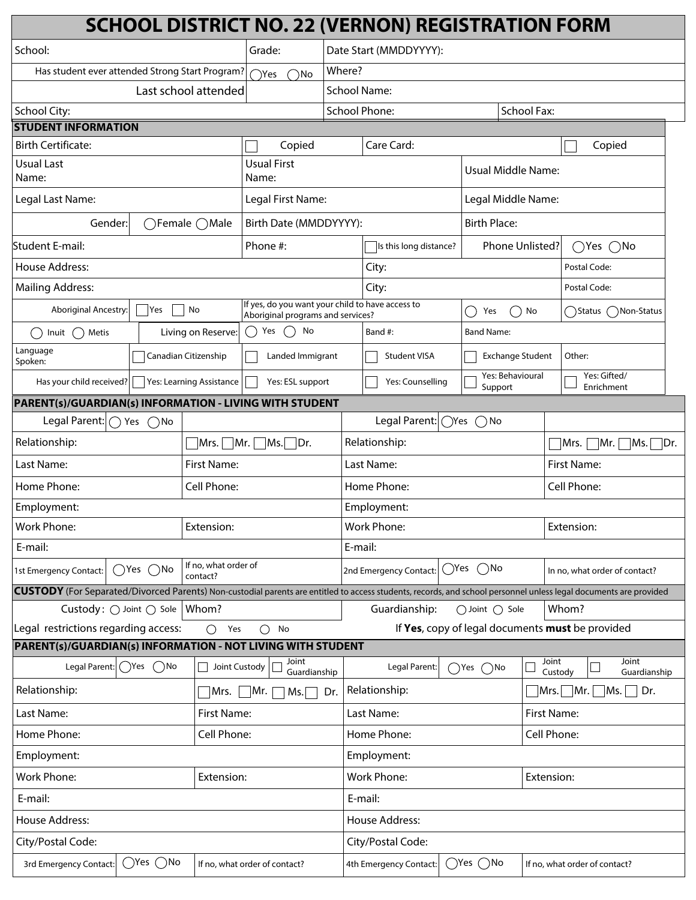|                                                                          |                                                                     |                                                                                       |                                  | <b>SCHOOL DISTRICT NO. 22 (VERNON) REGISTRATION FORM</b>                                                                                                          |                                                  |                                                    |                               |
|--------------------------------------------------------------------------|---------------------------------------------------------------------|---------------------------------------------------------------------------------------|----------------------------------|-------------------------------------------------------------------------------------------------------------------------------------------------------------------|--------------------------------------------------|----------------------------------------------------|-------------------------------|
| School:                                                                  | $ \hspace{-.02in} \hspace{-.02in} \hspace{-.02in} \hspace{-.02in} $ | Grade:                                                                                |                                  | Date Start (MMDDYYYY):                                                                                                                                            |                                                  |                                                    |                               |
| Has student ever attended Strong Start Program?<br>$\bigcap$ Yes<br>`No  |                                                                     | Where?                                                                                |                                  |                                                                                                                                                                   |                                                  |                                                    |                               |
| Last school attended                                                     |                                                                     |                                                                                       | <b>School Name:</b>              |                                                                                                                                                                   |                                                  |                                                    |                               |
| School City:                                                             |                                                                     |                                                                                       |                                  | <b>School Phone:</b>                                                                                                                                              |                                                  | <b>School Fax:</b>                                 |                               |
| <b>STUDENT INFORMATION</b>                                               |                                                                     |                                                                                       |                                  |                                                                                                                                                                   |                                                  |                                                    |                               |
| <b>Birth Certificate:</b>                                                |                                                                     | Copied                                                                                |                                  | Care Card:<br>Copied                                                                                                                                              |                                                  |                                                    |                               |
| <b>Usual Last</b><br>Name:                                               |                                                                     | <b>Usual First</b><br>Name:                                                           |                                  | Usual Middle Name:                                                                                                                                                |                                                  |                                                    |                               |
| Legal Last Name:                                                         |                                                                     | Legal First Name:                                                                     |                                  | Legal Middle Name:                                                                                                                                                |                                                  |                                                    |                               |
| Gender:                                                                  | $\bigcap$ Female $\bigcap$ Male                                     | Birth Date (MMDDYYYY):                                                                |                                  | <b>Birth Place:</b>                                                                                                                                               |                                                  |                                                    |                               |
| Student E-mail:                                                          |                                                                     | Phone #:                                                                              |                                  | Is this long distance?                                                                                                                                            |                                                  | Phone Unlisted?<br>$\bigcirc$ No<br>$\bigcirc$ Yes |                               |
| <b>House Address:</b>                                                    |                                                                     |                                                                                       |                                  | City:                                                                                                                                                             |                                                  |                                                    | Postal Code:                  |
| <b>Mailing Address:</b>                                                  |                                                                     |                                                                                       |                                  | City:                                                                                                                                                             |                                                  |                                                    | Postal Code:                  |
| Aboriginal Ancestry:<br> Yes                                             | No                                                                  | If yes, do you want your child to have access to<br>Aboriginal programs and services? |                                  |                                                                                                                                                                   | Yes                                              | No                                                 | Non-Status<br>( )Status(      |
| Metis<br>Inuit<br>(                                                      | Living on Reserve:                                                  | $($ )<br>Yes<br>No                                                                    |                                  | Band #:                                                                                                                                                           | <b>Band Name:</b>                                |                                                    |                               |
| Language<br>Spoken:                                                      | Canadian Citizenship                                                | Landed Immigrant                                                                      |                                  | <b>Student VISA</b>                                                                                                                                               | <b>Exchange Student</b>                          |                                                    | Other:                        |
| Has your child received?<br>Yes: Learning Assistance<br>Yes: ESL support |                                                                     |                                                                                       | Yes: Counselling                 | Yes: Behavioural<br>Support                                                                                                                                       |                                                  | Yes: Gifted/<br>Enrichment                         |                               |
| PARENT(s)/GUARDIAN(s) INFORMATION - LIVING WITH STUDENT                  |                                                                     |                                                                                       |                                  |                                                                                                                                                                   |                                                  |                                                    |                               |
| Legal Parent:<br>$\bigcap$ Yes<br>$( )$ No                               |                                                                     |                                                                                       |                                  | Legal Parent:<br>$\bigcirc$ Yes<br>$()$ No                                                                                                                        |                                                  |                                                    |                               |
| Relationship:                                                            |                                                                     | Relationship:<br>$Mrs.$ $Mr.$ $Ms.$ Dr.                                               |                                  |                                                                                                                                                                   |                                                  | $\Box$ Mr. $\Box$ Ms. $\Box$ Dr.<br> Mrs.          |                               |
| Last Name:                                                               | First Name:                                                         | Last Name:                                                                            |                                  |                                                                                                                                                                   |                                                  | First Name:                                        |                               |
| Home Phone:<br>Cell Phone:                                               |                                                                     |                                                                                       |                                  | Home Phone:                                                                                                                                                       |                                                  |                                                    | Cell Phone:                   |
| Employment:                                                              |                                                                     |                                                                                       |                                  | Employment:                                                                                                                                                       |                                                  |                                                    |                               |
| Work Phone:                                                              | Extension:                                                          |                                                                                       |                                  | <b>Work Phone:</b>                                                                                                                                                |                                                  |                                                    | Extension:                    |
| E-mail:                                                                  |                                                                     |                                                                                       |                                  | E-mail:                                                                                                                                                           |                                                  |                                                    |                               |
| 1st Emergency Contact:<br>()Yes ()No                                     | If no, what order of<br>contact?                                    |                                                                                       |                                  | $()$ Yes<br>$()$ No<br>2nd Emergency Contact:                                                                                                                     |                                                  | In no, what order of contact?                      |                               |
|                                                                          |                                                                     |                                                                                       |                                  | CUSTODY (For Separated/Divorced Parents) Non-custodial parents are entitled to access students, records, and school personnel unless legal documents are provided |                                                  |                                                    |                               |
| Custody: $\bigcirc$ Joint $\bigcirc$ Sole   Whom?                        |                                                                     |                                                                                       |                                  | Whom?<br>Guardianship:<br>◯ Joint () Sole                                                                                                                         |                                                  |                                                    |                               |
| Legal restrictions regarding access:<br>Yes<br>No<br>◯<br>◯              |                                                                     |                                                                                       |                                  |                                                                                                                                                                   | If Yes, copy of legal documents must be provided |                                                    |                               |
| PARENT(s)/GUARDIAN(s) INFORMATION - NOT LIVING WITH STUDENT              |                                                                     |                                                                                       |                                  |                                                                                                                                                                   |                                                  |                                                    |                               |
| Legal Parent: \\ \ Yes<br>$\bigcap$ No                                   | Joint Custody                                                       | Joint<br>Guardianship                                                                 |                                  | Legal Parent:                                                                                                                                                     | $\bigcap$ Yes $\bigcap$ No                       | Joint<br>Custody                                   | Joint<br>Guardianship         |
| Relationship:<br>่  Mr.  <br>Dr.<br>Mrs. I<br>Ms.                        |                                                                     |                                                                                       | Relationship:                    |                                                                                                                                                                   |                                                  | Dr.<br>$ Mrs. $ $ Mr. $ $ Ms.$                     |                               |
| Last Name:<br>First Name:                                                |                                                                     |                                                                                       | First Name:<br>Last Name:        |                                                                                                                                                                   |                                                  |                                                    |                               |
| Cell Phone:<br>Home Phone:                                               |                                                                     |                                                                                       | Cell Phone:<br>Home Phone:       |                                                                                                                                                                   |                                                  |                                                    |                               |
| Employment:                                                              |                                                                     |                                                                                       | Employment:                      |                                                                                                                                                                   |                                                  |                                                    |                               |
| <b>Work Phone:</b><br>Extension:                                         |                                                                     |                                                                                       | <b>Work Phone:</b><br>Extension: |                                                                                                                                                                   |                                                  |                                                    |                               |
| E-mail:                                                                  |                                                                     |                                                                                       |                                  | E-mail:                                                                                                                                                           |                                                  |                                                    |                               |
| House Address:                                                           |                                                                     |                                                                                       | House Address:                   |                                                                                                                                                                   |                                                  |                                                    |                               |
| City/Postal Code:                                                        |                                                                     |                                                                                       |                                  | City/Postal Code:                                                                                                                                                 |                                                  |                                                    |                               |
| $\bigcirc$ Yes $\bigcirc$ No<br>3rd Emergency Contact:                   |                                                                     | If no, what order of contact?                                                         |                                  | 4th Emergency Contact:                                                                                                                                            | $\bigcirc$ Yes $\bigcirc$ No                     |                                                    | If no, what order of contact? |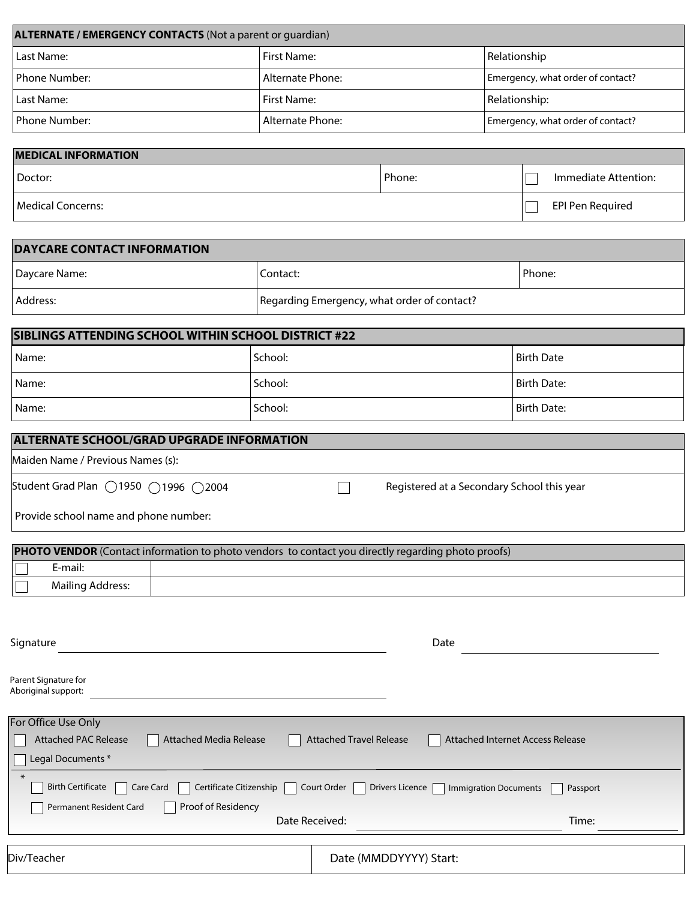| <b>ALTERNATE / EMERGENCY CONTACTS (Not a parent or guardian)</b> |                    |                                   |  |  |
|------------------------------------------------------------------|--------------------|-----------------------------------|--|--|
| Last Name:                                                       | First Name:        | Relationship                      |  |  |
| <b>I</b> Phone Number:                                           | I Alternate Phone: | Emergency, what order of contact? |  |  |
| Last Name:                                                       | l First Name:      | Relationship:                     |  |  |
| l Phone Number: I                                                | l Alternate Phone: | Emergency, what order of contact? |  |  |

## **MEDICAL INFORMATION**

| Doctor:           | Phone: | Immediate Attention: |
|-------------------|--------|----------------------|
| Medical Concerns: |        | EPI Pen Required     |

| <b>DAYCARE CONTACT INFORMATION</b> |                                             |          |  |  |  |
|------------------------------------|---------------------------------------------|----------|--|--|--|
| Daycare Name:                      | Contact:                                    | l Phone: |  |  |  |
| Address:                           | Regarding Emergency, what order of contact? |          |  |  |  |

| <b>SIBLINGS ATTENDING SCHOOL WITHIN SCHOOL DISTRICT #22</b> |         |             |  |  |  |
|-------------------------------------------------------------|---------|-------------|--|--|--|
| Name:                                                       | School: | Birth Date  |  |  |  |
| Name:                                                       | School: | Birth Date: |  |  |  |
| Name:                                                       | School: | Birth Date: |  |  |  |

| <b>ALTERNATE SCHOOL/GRAD UPGRADE INFORMATION</b>                  |  |                                            |  |  |  |
|-------------------------------------------------------------------|--|--------------------------------------------|--|--|--|
| Maiden Name / Previous Names (s):                                 |  |                                            |  |  |  |
| Student Grad Plan $\bigcirc$ 1950 $\bigcirc$ 1996 $\bigcirc$ 2004 |  | Registered at a Secondary School this year |  |  |  |
| Provide school name and phone number:                             |  |                                            |  |  |  |

| <b>PHOTO VENDOR</b> (Contact information to photo vendors to contact you directly regarding photo proofs) |                         |  |  |  |
|-----------------------------------------------------------------------------------------------------------|-------------------------|--|--|--|
|                                                                                                           | E-mail:                 |  |  |  |
|                                                                                                           | <b>Mailing Address:</b> |  |  |  |

| Signature                                                                  |                                | Date                                     |
|----------------------------------------------------------------------------|--------------------------------|------------------------------------------|
| Parent Signature for<br>Aboriginal support:                                |                                |                                          |
| For Office Use Only                                                        |                                |                                          |
| <b>Attached PAC Release</b><br><b>Attached Media Release</b>               | <b>Attached Travel Release</b> | Attached Internet Access Release         |
| Legal Documents*                                                           |                                |                                          |
| $\ast$<br><b>Birth Certificate</b><br>Certificate Citizenship<br>Care Card | Court Order<br>Drivers Licence | <b>Immigration Documents</b><br>Passport |
| Permanent Resident Card<br>Proof of Residency                              |                                |                                          |
| Date Received:                                                             |                                | Time:                                    |
|                                                                            |                                |                                          |
| Div/Teacher                                                                | Date (MMDDYYYY) Start:         |                                          |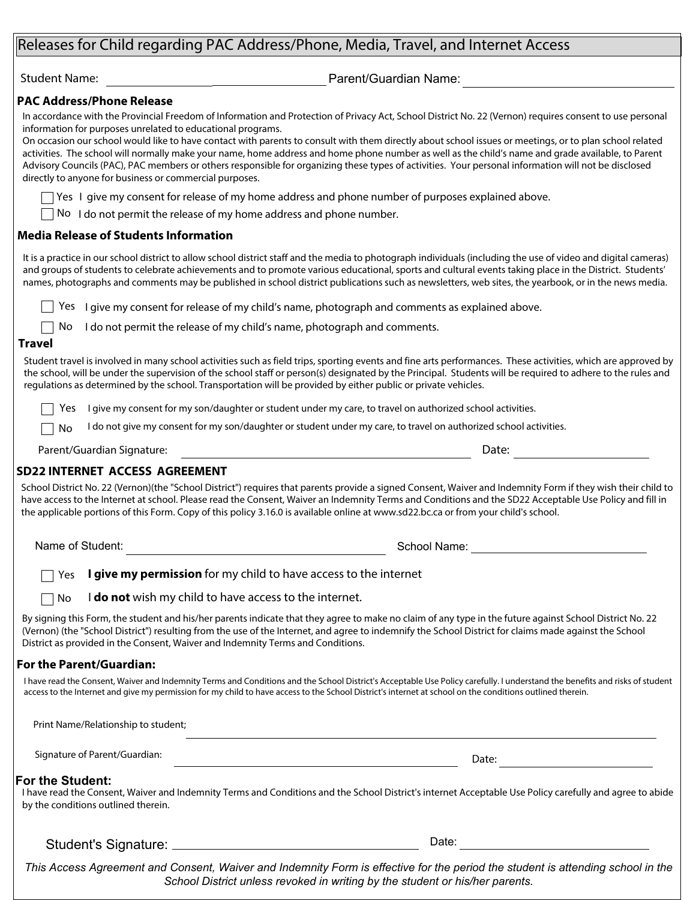### Releases for Child regarding PAC Address/Phone, Media, Travel, and Internet Access

Student Name: etc. All and the extendion of the Parent/Guardian Name:

#### **PAC Address/Phone Release**

In accordance with the Provincial Freedom of Information and Protection of Privacy Act, School District No. 22 (Vernon) requires consent to use personal information for purposes unrelated to educational programs.

On occasion our school would like to have contact with parents to consult with them directly about school issues or meetings, or to plan school related activities. The school will normally make your name, home address and home phone number as well as the child's name and grade available, to Parent Advisory Councils (PAC), PAC members or others responsible for organizing these types of activities. Your personal information will not be disclosed directly to anyone for business or commercial purposes.

Yes I give my consent for release of my home address and phone number of purposes explained above.

No I do not permit the release of my home address and phone number.

#### **Media Release of Students Information**

It is a practice in our school district to allow school district staff and the media to photograph individuals (including the use of video and digital cameras) and groups of students to celebrate achievements and to promote various educational, sports and cultural events taking place in the District. Students' names, photographs and comments may be published in school district publications such as newsletters, web sites, the yearbook, or in the news media.

Yes I give my consent for release of my child's name, photograph and comments as explained above.

No I do not permit the release of my child's name, photograph and comments.

#### **Travel**

Student travel is involved in many school activities such as field trips, sporting events and fine arts performances. These activities, which are approved by the school, will be under the supervision of the school staff or person(s) designated by the Principal. Students will be required to adhere to the rules and regulations as determined by the school. Transportation will be provided by either public or private vehicles.

Yes I give my consent for my son/daughter or student under my care, to travel on authorized school activities.

I do not give my consent for my son/daughter or student under my care, to travel on authorized school activities. No

Parent/Guardian Signature: Date:

#### **SD22 INTERNET ACCESS AGREEMENT**

School District No. 22 (Vernon)(the "School District") requires that parents provide a signed Consent, Waiver and Indemnity Form if they wish their child to have access to the Internet at school. Please read the Consent, Waiver an Indemnity Terms and Conditions and the SD22 Acceptable Use Policy and fill in the applicable portions of this Form. Copy of this policy 3.16.0 is available online at www.sd22.bc.ca or from your child's school.

Name of Student:

School Name: The state of the School Name:

**I give my permission** for my child to have access to the internet Yes

I **do not** wish my child to have access to the internet.  $\Box$  No

By signing this Form, the student and his/her parents indicate that they agree to make no claim of any type in the future against School District No. 22 (Vernon) (the "School District") resulting from the use of the Internet, and agree to indemnify the School District for claims made against the School District as provided in the Consent, Waiver and Indemnity Terms and Conditions.

#### **For the Parent/Guardian:**

I have read the Consent, Waiver and Indemnity Terms and Conditions and the School District's Acceptable Use Policy carefully. I understand the benefits and risks of student access to the Internet and give my permission for my child to have access to the School District's internet at school on the conditions outlined therein.

| Print Name/Relationship to student;                     |                                                                                                                                                          |
|---------------------------------------------------------|----------------------------------------------------------------------------------------------------------------------------------------------------------|
| Signature of Parent/Guardian:                           | Date:                                                                                                                                                    |
| For the Student:<br>by the conditions outlined therein. | I have read the Consent, Waiver and Indemnity Terms and Conditions and the School District's internet Acceptable Use Policy carefully and agree to abide |
| Student's Signature:                                    | Date:                                                                                                                                                    |

*This Access Agreement and Consent, Waiver and Indemnity Form is effective for the period the student is attending school in the School District unless revoked in writing by the student or his/her parents.*